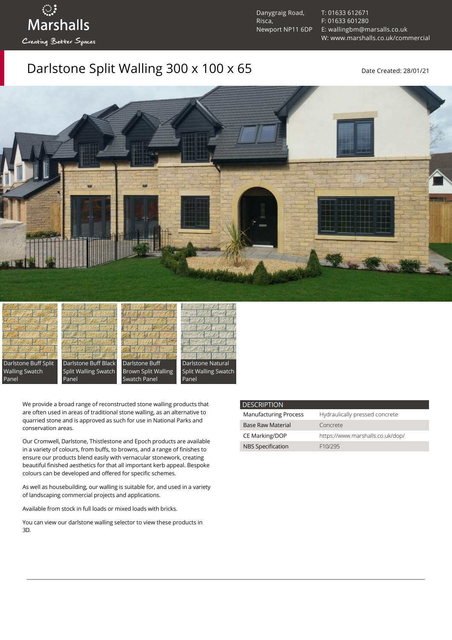Danygraig Road, Risca, Newport NP11 6DP [T: 01633 612671](tel:01633%20612671) [F: 01633 601280](tel:01633%20601280) [E: wallingbm@marsalls.co.uk](mailto:wallingbm@marsalls.co.uk) [W: www.marshalls.co.uk/commercial](https://www.marshalls.co.uk/commercial)

## Darlstone Split Walling 300 x 100 x 65 Date Created: 28/01/21





ः<br>Marshalls

Creating Better Spaces







Panel

We provide a broad range of reconstructed stone walling products that are often used in areas of traditional stone walling, as an alternative to quarried stone and is approved as such for use in National Parks and conservation areas.

Our [Cromwell](https://www.marshalls.co.uk/commercial/product/cromwell-stone-walling), Darlstone, [Thistlestone](https://www.marshalls.co.uk/commercial/product/thistlestone-stone-walling) and Epoch products are available in a variety of colours, from buffs, to browns, and a range of finishes to ensure our products blend easily with vernacular stonework, creating beautiful finished aesthetics for that all important kerb appeal. Bespoke colours can be developed and offered for specific schemes.

As well as housebuilding, our walling is suitable for, and used in a variety of landscaping commercial projects and applications.

Available from stock in full loads or mixed loads with bricks.

You can view our [darlstone walling selector](https://www.paverpicker.com/paverpicker/?u=edenhall&cat=walling&subcat=darlstone_walling) to view these products in 3D.

| <b>DESCRIPTION</b>           |                                  |
|------------------------------|----------------------------------|
| <b>Manufacturing Process</b> | Hydraulically pressed concrete   |
| <b>Base Raw Material</b>     | Concrete                         |
| CE Marking/DOP               | https://www.marshalls.co.uk/dop/ |
| <b>NBS Specification</b>     | F <sub>10</sub> /295             |